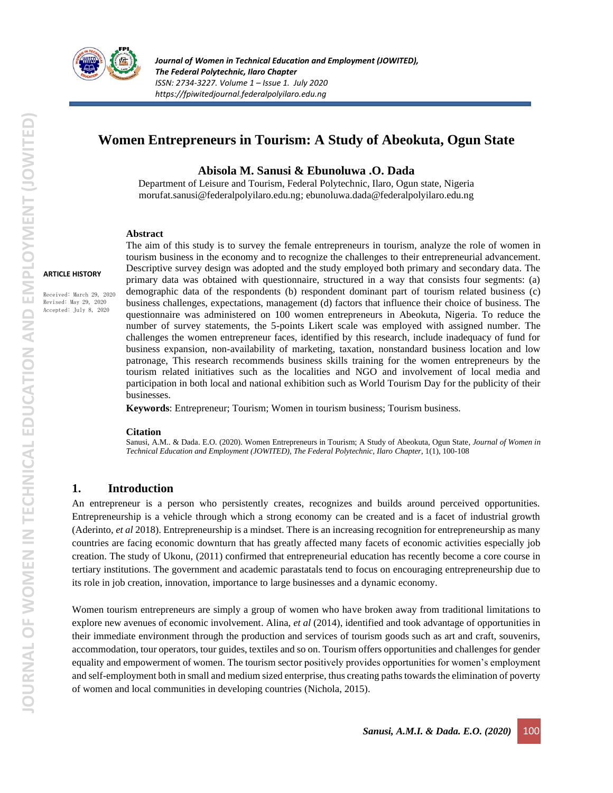

# **Women Entrepreneurs in Tourism: A Study of Abeokuta, Ogun State**

**Abisola M. Sanusi & Ebunoluwa .O. Dada**

Department of Leisure and Tourism, Federal Polytechnic, Ilaro, Ogun state, Nigeria [morufat.sanusi@federalpolyilaro.edu.ng;](mailto:morufat.sanusi@federalpolyilaro.edu.ng) ebunoluwa.dada@federalpolyilaro.edu.ng

#### **Abstract**

**ARTICLE HISTORY**

Received: March 29, 2020 Revised: May 29, 2020 Accepted: July 8, 2020

The aim of this study is to survey the female entrepreneurs in tourism, analyze the role of women in tourism business in the economy and to recognize the challenges to their entrepreneurial advancement. Descriptive survey design was adopted and the study employed both primary and secondary data. The primary data was obtained with questionnaire, structured in a way that consists four segments: (a) demographic data of the respondents (b) respondent dominant part of tourism related business (c) business challenges, expectations, management (d) factors that influence their choice of business. The questionnaire was administered on 100 women entrepreneurs in Abeokuta, Nigeria. To reduce the number of survey statements, the 5-points Likert scale was employed with assigned number. The challenges the women entrepreneur faces, identified by this research, include inadequacy of fund for business expansion, non-availability of marketing, taxation, nonstandard business location and low patronage, This research recommends business skills training for the women entrepreneurs by the tourism related initiatives such as the localities and NGO and involvement of local media and participation in both local and national exhibition such as World Tourism Day for the publicity of their businesses.

**Keywords**: Entrepreneur; Tourism; Women in tourism business; Tourism business.

#### **Citation**

Sanusi, A.M.. & Dada. E.O. (2020). Women Entrepreneurs in Tourism; A Study of Abeokuta, Ogun State, *Journal of Women in Technical Education and Employment (JOWITED), The Federal Polytechnic, Ilaro Chapter*, 1(1), 100-108

#### **1. Introduction**

An entrepreneur is a person who persistently creates, recognizes and builds around perceived opportunities. Entrepreneurship is a vehicle through which a strong economy can be created and is a facet of industrial growth (Aderinto, *et al* 2018). Entrepreneurship is a mindset. There is an increasing recognition for entrepreneurship as many countries are facing economic downturn that has greatly affected many facets of economic activities especially job creation. The study of Ukonu, (2011) confirmed that entrepreneurial education has recently become a core course in tertiary institutions. The government and academic parastatals tend to focus on encouraging entrepreneurship due to its role in job creation, innovation, importance to large businesses and a dynamic economy.

Women tourism entrepreneurs are simply a group of women who have broken away from traditional limitations to explore new avenues of economic involvement. Alina, *et al* (2014), identified and took advantage of opportunities in their immediate environment through the production and services of tourism goods such as art and craft, souvenirs, accommodation, tour operators, tour guides, textiles and so on. Tourism offers opportunities and challenges for gender equality and empowerment of women. The tourism sector positively provides opportunities for women's employment and self-employment both in small and medium sized enterprise, thus creating paths towards the elimination of poverty of women and local communities in developing countries (Nichola, 2015).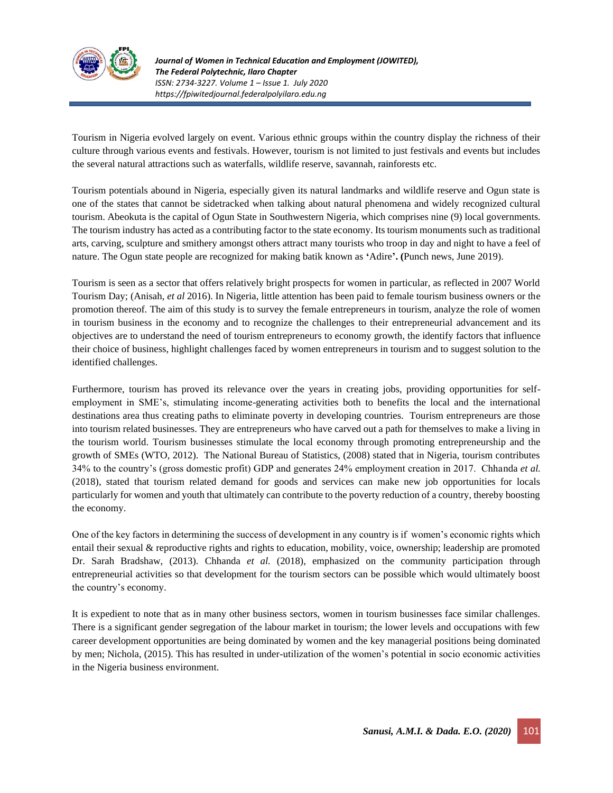

Tourism in Nigeria evolved largely on event. Various ethnic groups within the country display the richness of their culture through various events and festivals. However, tourism is not limited to just festivals and events but includes the several natural attractions such as waterfalls, wildlife reserve, savannah, rainforests etc.

Tourism potentials abound in Nigeria, especially given its natural landmarks and wildlife reserve and Ogun state is one of the states that cannot be sidetracked when talking about natural phenomena and widely recognized cultural tourism. Abeokuta is the capital of Ogun State in Southwestern Nigeria, which comprises nine (9) local governments. The tourism industry has acted as a contributing factor to the state economy. Its tourism monuments such as traditional arts, carving, sculpture and smithery amongst others attract many tourists who troop in day and night to have a feel of nature. The Ogun state people are recognized for making batik known as **'**Adire**'. (**Punch news, June 2019).

Tourism is seen as a sector that offers relatively bright prospects for women in particular, as reflected in 2007 World Tourism Day; (Anisah, *et al* 2016). In Nigeria, little attention has been paid to female tourism business owners or the promotion thereof. The aim of this study is to survey the female entrepreneurs in tourism, analyze the role of women in tourism business in the economy and to recognize the challenges to their entrepreneurial advancement and its objectives are to understand the need of tourism entrepreneurs to economy growth, the identify factors that influence their choice of business, highlight challenges faced by women entrepreneurs in tourism and to suggest solution to the identified challenges.

Furthermore, tourism has proved its relevance over the years in creating jobs, providing opportunities for selfemployment in SME's, stimulating income-generating activities both to benefits the local and the international destinations area thus creating paths to eliminate poverty in developing countries. Tourism entrepreneurs are those into tourism related businesses. They are entrepreneurs who have carved out a path for themselves to make a living in the tourism world. Tourism businesses stimulate the local economy through promoting entrepreneurship and the growth of SMEs (WTO, 2012). The National Bureau of Statistics, (2008) stated that in Nigeria, tourism contributes 34% to the country's (gross domestic profit) GDP and generates 24% employment creation in 2017. Chhanda *et al.* (2018), stated that tourism related demand for goods and services can make new job opportunities for locals particularly for women and youth that ultimately can contribute to the poverty reduction of a country, thereby boosting the economy.

One of the key factors in determining the success of development in any country is if women's economic rights which entail their sexual & reproductive rights and rights to education, mobility, voice, ownership; leadership are promoted Dr. Sarah Bradshaw, (2013). Chhanda *et al.* (2018), emphasized on the community participation through entrepreneurial activities so that development for the tourism sectors can be possible which would ultimately boost the country's economy.

It is expedient to note that as in many other business sectors, women in tourism businesses face similar challenges. There is a significant gender segregation of the labour market in tourism; the lower levels and occupations with few career development opportunities are being dominated by women and the key managerial positions being dominated by men; Nichola, (2015). This has resulted in under-utilization of the women's potential in socio economic activities in the Nigeria business environment.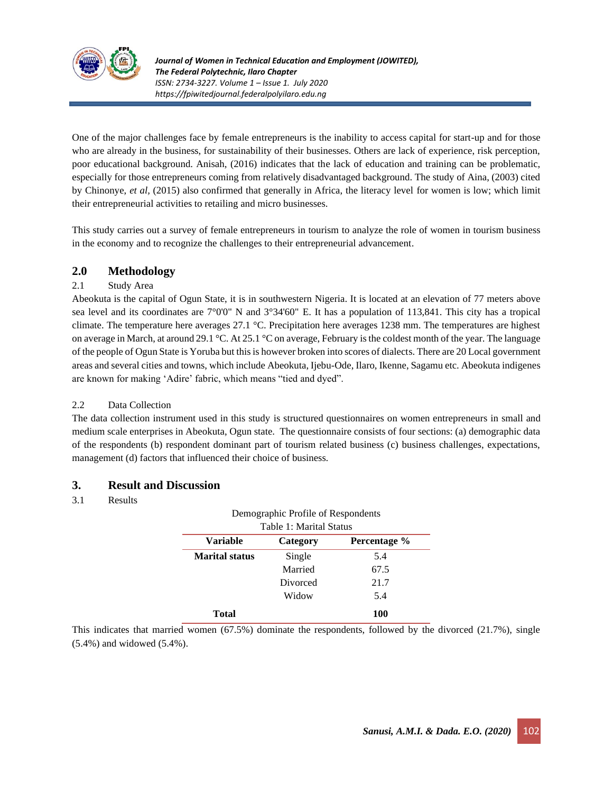

One of the major challenges face by female entrepreneurs is the inability to access capital for start-up and for those who are already in the business, for sustainability of their businesses. Others are lack of experience, risk perception, poor educational background. Anisah, (2016) indicates that the lack of education and training can be problematic, especially for those entrepreneurs coming from relatively disadvantaged background. The study of Aina, (2003) cited by Chinonye, *et al,* (2015) also confirmed that generally in Africa, the literacy level for women is low; which limit their entrepreneurial activities to retailing and micro businesses.

This study carries out a survey of female entrepreneurs in tourism to analyze the role of women in tourism business in the economy and to recognize the challenges to their entrepreneurial advancement.

# **2.0 Methodology**

#### 2.1 Study Area

Abeokuta is the capital of Ogun State, it is in southwestern Nigeria. It is located at an elevation of 77 meters above sea level and its coordinates are 7°0'0" N and 3°34'60" E. It has a population of 113,841. This city has a tropical climate. The temperature here averages 27.1 °C. Precipitation here averages 1238 mm. The temperatures are highest on average in March, at around 29.1 °C. At 25.1 °C on average, February is the coldest month of the year. The language of the people of Ogun State is Yoruba but this is however broken into scores of dialects. There are 20 Local government areas and several cities and towns, which include Abeokuta, Ijebu-Ode, Ilaro, Ikenne, Sagamu etc. Abeokuta indigenes are known for making 'Adire' fabric, which means "tied and dyed".

### 2.2 Data Collection

The data collection instrument used in this study is structured questionnaires on women entrepreneurs in small and medium scale enterprises in Abeokuta, Ogun state. The questionnaire consists of four sections: (a) demographic data of the respondents (b) respondent dominant part of tourism related business (c) business challenges, expectations, management (d) factors that influenced their choice of business.

### **3. Result and Discussion**

#### 3.1 Results

|                         | Demographic Profile of Respondents |              |  |
|-------------------------|------------------------------------|--------------|--|
| Table 1: Marital Status |                                    |              |  |
| Variable                | Category                           | Percentage % |  |
| <b>Marital</b> status   | Single                             | 5.4          |  |
|                         | Married                            | 67.5         |  |
|                         | Divorced                           | 21.7         |  |
|                         | Widow                              | 5.4          |  |
| Total                   |                                    | 100          |  |

Demographic Profile of Respondents

This indicates that married women (67.5%) dominate the respondents, followed by the divorced (21.7%), single (5.4%) and widowed (5.4%).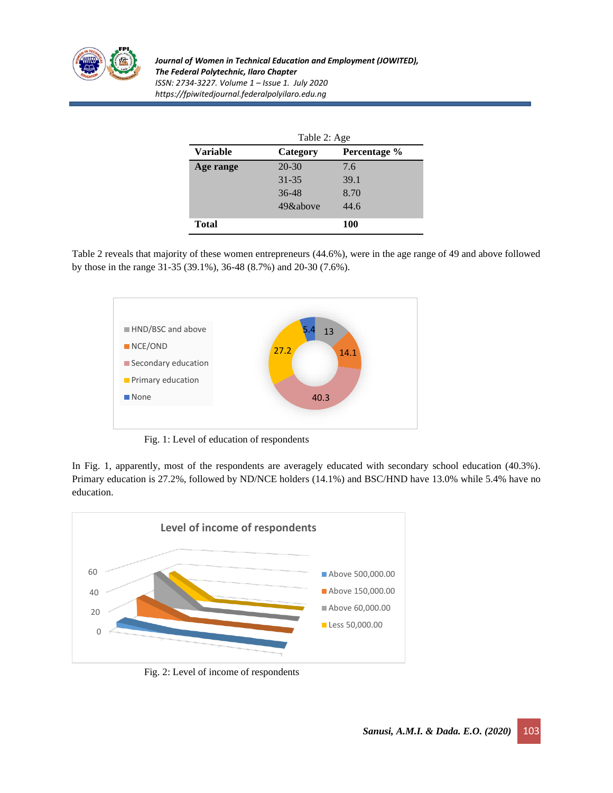

*Journal of Women in Technical Education and Employment (JOWITED), The Federal Polytechnic, Ilaro Chapter ISSN: 2734-3227. Volume 1 – Issue 1. July 2020 https://fpiwitedjournal.federalpolyilaro.edu.ng*

|              | Table 2: Age |              |  |
|--------------|--------------|--------------|--|
| Variable     | Category     | Percentage % |  |
| Age range    | $20 - 30$    | 7.6          |  |
|              | $31 - 35$    | 39.1         |  |
|              | $36 - 48$    | 8.70         |  |
|              | 49&above     | 44.6         |  |
| <b>Total</b> |              | <b>100</b>   |  |

Table 2 reveals that majority of these women entrepreneurs (44.6%), were in the age range of 49 and above followed by those in the range 31-35 (39.1%), 36-48 (8.7%) and 20-30 (7.6%).



Fig. 1: Level of education of respondents

In Fig. 1, apparently, most of the respondents are averagely educated with secondary school education (40.3%). Primary education is 27.2%, followed by ND/NCE holders (14.1%) and BSC/HND have 13.0% while 5.4% have no education.



Fig. 2: Level of income of respondents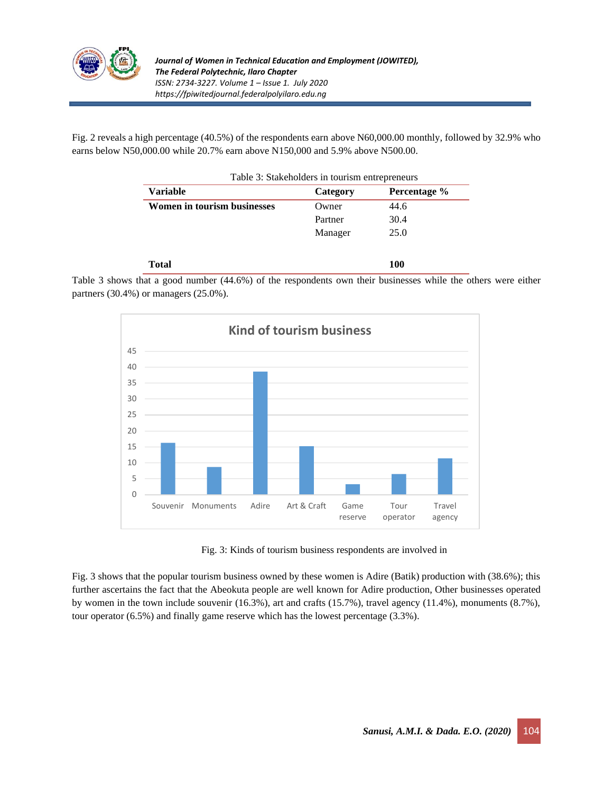

Fig. 2 reveals a high percentage (40.5%) of the respondents earn above N60,000.00 monthly, followed by 32.9% who earns below N50,000.00 while 20.7% earn above N150,000 and 5.9% above N500.00.

| Table 3: Stakeholders in tourism entrepreneurs |              |  |  |
|------------------------------------------------|--------------|--|--|
| Category                                       | Percentage % |  |  |
| Owner                                          | 44.6         |  |  |
| Partner                                        | 30.4         |  |  |
| Manager                                        | 25.0         |  |  |
|                                                | 100          |  |  |
|                                                |              |  |  |





Fig. 3: Kinds of tourism business respondents are involved in

Fig. 3 shows that the popular tourism business owned by these women is Adire (Batik) production with (38.6%); this further ascertains the fact that the Abeokuta people are well known for Adire production, Other businesses operated by women in the town include souvenir (16.3%), art and crafts (15.7%), travel agency (11.4%), monuments (8.7%), tour operator (6.5%) and finally game reserve which has the lowest percentage (3.3%).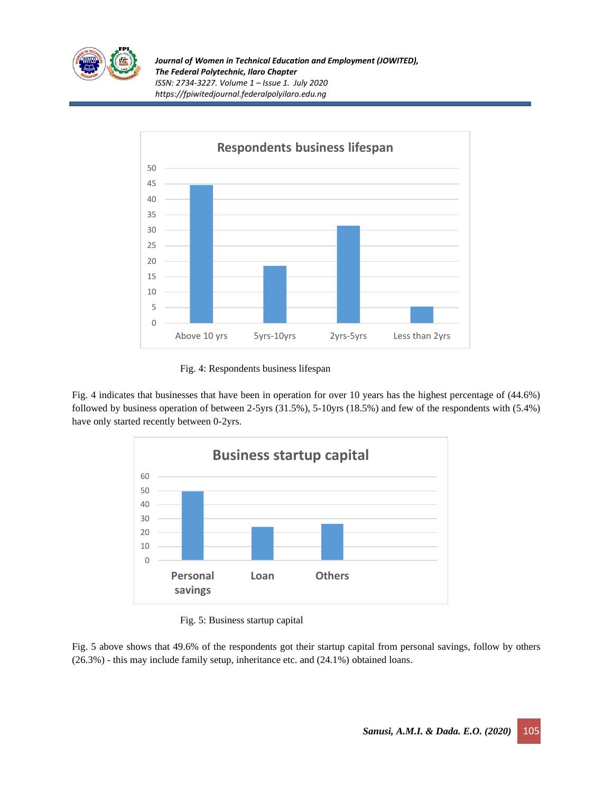



Fig. 4: Respondents business lifespan

Fig. 4 indicates that businesses that have been in operation for over 10 years has the highest percentage of (44.6%) followed by business operation of between 2-5yrs (31.5%), 5-10yrs (18.5%) and few of the respondents with (5.4%) have only started recently between 0-2yrs.



Fig. 5: Business startup capital

Fig. 5 above shows that 49.6% of the respondents got their startup capital from personal savings, follow by others (26.3%) - this may include family setup, inheritance etc. and (24.1%) obtained loans.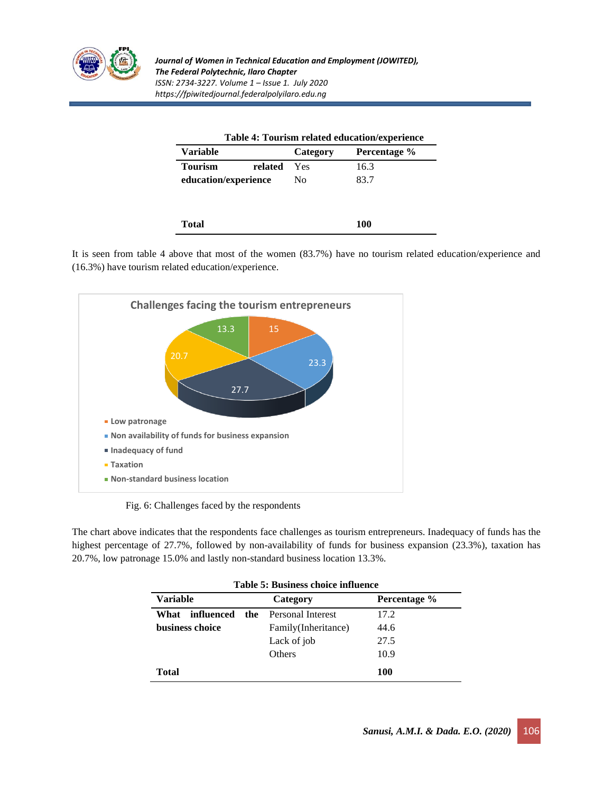

| <b>Variable</b>      |         | Category | Percentage % |
|----------------------|---------|----------|--------------|
| <b>Tourism</b>       | related | Yes      | 16.3         |
| education/experience |         | No.      | 83.7         |

| <b>Total</b> | 100 |
|--------------|-----|
|              |     |

It is seen from table 4 above that most of the women (83.7%) have no tourism related education/experience and (16.3%) have tourism related education/experience.



Fig. 6: Challenges faced by the respondents

The chart above indicates that the respondents face challenges as tourism entrepreneurs. Inadequacy of funds has the highest percentage of 27.7%, followed by non-availability of funds for business expansion (23.3%), taxation has 20.7%, low patronage 15.0% and lastly non-standard business location 13.3%.

| Table 5: Business choice influence |     |                     |              |  |
|------------------------------------|-----|---------------------|--------------|--|
| Variable                           |     | Category            | Percentage % |  |
| influenced<br>What                 | the | Personal Interest   | 17.2         |  |
| business choice                    |     | Family(Inheritance) | 44.6         |  |
|                                    |     | Lack of job         | 27.5         |  |
|                                    |     | Others              | 10.9         |  |
| Total                              |     |                     | 100          |  |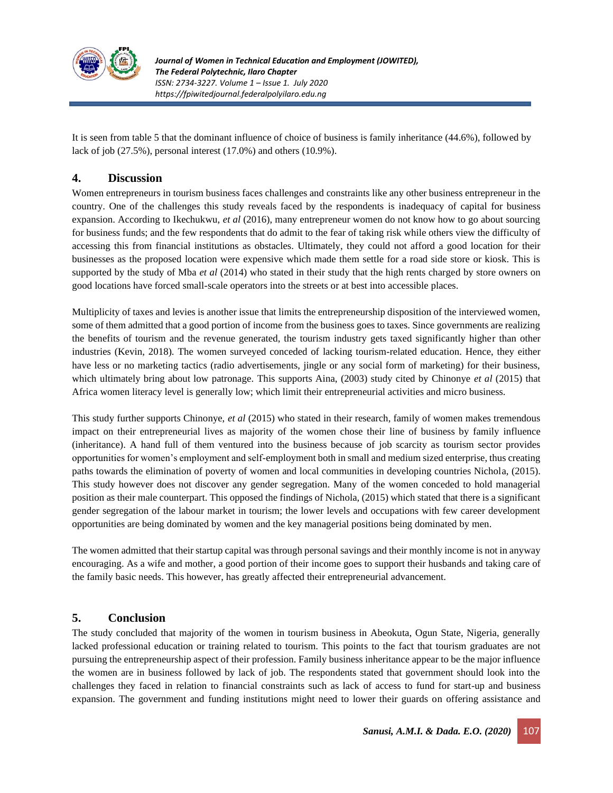

It is seen from table 5 that the dominant influence of choice of business is family inheritance (44.6%), followed by lack of job (27.5%), personal interest (17.0%) and others (10.9%).

### **4. Discussion**

Women entrepreneurs in tourism business faces challenges and constraints like any other business entrepreneur in the country. One of the challenges this study reveals faced by the respondents is inadequacy of capital for business expansion. According to Ikechukwu, *et al* (2016), many entrepreneur women do not know how to go about sourcing for business funds; and the few respondents that do admit to the fear of taking risk while others view the difficulty of accessing this from financial institutions as obstacles. Ultimately, they could not afford a good location for their businesses as the proposed location were expensive which made them settle for a road side store or kiosk. This is supported by the study of Mba *et al* (2014) who stated in their study that the high rents charged by store owners on good locations have forced small-scale operators into the streets or at best into accessible places.

Multiplicity of taxes and levies is another issue that limits the entrepreneurship disposition of the interviewed women, some of them admitted that a good portion of income from the business goes to taxes. Since governments are realizing the benefits of tourism and the revenue generated, the tourism industry gets taxed significantly higher than other industries (Kevin, 2018). The women surveyed conceded of lacking tourism-related education. Hence, they either have less or no marketing tactics (radio advertisements, jingle or any social form of marketing) for their business, which ultimately bring about low patronage. This supports Aina, (2003) study cited by Chinonye *et al* (2015) that Africa women literacy level is generally low; which limit their entrepreneurial activities and micro business.

This study further supports Chinonye, *et al* (2015) who stated in their research, family of women makes tremendous impact on their entrepreneurial lives as majority of the women chose their line of business by family influence (inheritance). A hand full of them ventured into the business because of job scarcity as tourism sector provides opportunities for women's employment and self-employment both in small and medium sized enterprise, thus creating paths towards the elimination of poverty of women and local communities in developing countries Nichola, (2015). This study however does not discover any gender segregation. Many of the women conceded to hold managerial position as their male counterpart. This opposed the findings of Nichola, (2015) which stated that there is a significant gender segregation of the labour market in tourism; the lower levels and occupations with few career development opportunities are being dominated by women and the key managerial positions being dominated by men.

The women admitted that their startup capital was through personal savings and their monthly income is not in anyway encouraging. As a wife and mother, a good portion of their income goes to support their husbands and taking care of the family basic needs. This however, has greatly affected their entrepreneurial advancement.

## **5. Conclusion**

The study concluded that majority of the women in tourism business in Abeokuta, Ogun State, Nigeria, generally lacked professional education or training related to tourism. This points to the fact that tourism graduates are not pursuing the entrepreneurship aspect of their profession. Family business inheritance appear to be the major influence the women are in business followed by lack of job. The respondents stated that government should look into the challenges they faced in relation to financial constraints such as lack of access to fund for start-up and business expansion. The government and funding institutions might need to lower their guards on offering assistance and